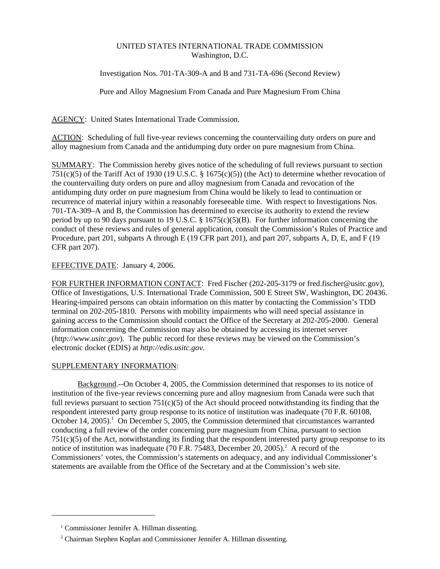## UNITED STATES INTERNATIONAL TRADE COMMISSION Washington, D.C.

Investigation Nos. 701-TA-309-A and B and 731-TA-696 (Second Review)

Pure and Alloy Magnesium From Canada and Pure Magnesium From China

AGENCY: United States International Trade Commission.

ACTION: Scheduling of full five-year reviews concerning the countervailing duty orders on pure and alloy magnesium from Canada and the antidumping duty order on pure magnesium from China.

SUMMARY: The Commission hereby gives notice of the scheduling of full reviews pursuant to section 751(c)(5) of the Tariff Act of 1930 (19 U.S.C. § 1675(c)(5)) (the Act) to determine whether revocation of the countervailing duty orders on pure and alloy magnesium from Canada and revocation of the antidumping duty order on pure magnesium from China would be likely to lead to continuation or recurrence of material injury within a reasonably foreseeable time. With respect to Investigations Nos. 701-TA-309–A and B, the Commission has determined to exercise its authority to extend the review period by up to 90 days pursuant to 19 U.S.C.  $\S$  1675(c)(5)(B). For further information concerning the conduct of these reviews and rules of general application, consult the Commission's Rules of Practice and Procedure, part 201, subparts A through E (19 CFR part 201), and part 207, subparts A, D, E, and F (19 CFR part 207).

## EFFECTIVE DATE: January 4, 2006.

FOR FURTHER INFORMATION CONTACT: Fred Fischer (202-205-3179 or fred.fischer@usitc.gov), Office of Investigations, U.S. International Trade Commission, 500 E Street SW, Washington, DC 20436. Hearing-impaired persons can obtain information on this matter by contacting the Commission's TDD terminal on 202-205-1810. Persons with mobility impairments who will need special assistance in gaining access to the Commission should contact the Office of the Secretary at 202-205-2000. General information concerning the Commission may also be obtained by accessing its internet server (*http://www.usitc.gov*). The public record for these reviews may be viewed on the Commission's electronic docket (EDIS) at *http://edis.usitc.gov*.

## SUPPLEMENTARY INFORMATION:

Background.--On October 4, 2005, the Commission determined that responses to its notice of institution of the five-year reviews concerning pure and alloy magnesium from Canada were such that full reviews pursuant to section  $751(c)(5)$  of the Act should proceed notwithstanding its finding that the respondent interested party group response to its notice of institution was inadequate (70 F.R. 60108, October 14, 2005).<sup>1</sup> On December 5, 2005, the Commission determined that circumstances warranted conducting a full review of the order concerning pure magnesium from China, pursuant to section 751(c)(5) of the Act, notwithstanding its finding that the respondent interested party group response to its notice of institution was inadequate (70 F.R. 75483, December 20, 2005).<sup>2</sup> A record of the Commissioners' votes, the Commission's statements on adequacy, and any individual Commissioner's statements are available from the Office of the Secretary and at the Commission's web site.

<sup>&</sup>lt;sup>1</sup> Commissioner Jennifer A. Hillman dissenting.

<sup>&</sup>lt;sup>2</sup> Chairman Stephen Koplan and Commissioner Jennifer A. Hillman dissenting.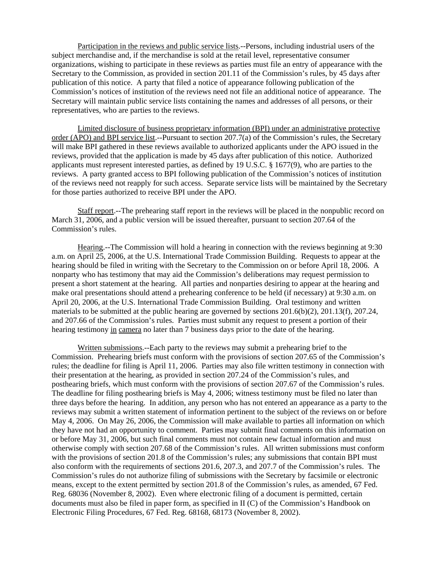Participation in the reviews and public service lists.--Persons, including industrial users of the subject merchandise and, if the merchandise is sold at the retail level, representative consumer organizations, wishing to participate in these reviews as parties must file an entry of appearance with the Secretary to the Commission, as provided in section 201.11 of the Commission's rules, by 45 days after publication of this notice. A party that filed a notice of appearance following publication of the Commission's notices of institution of the reviews need not file an additional notice of appearance. The Secretary will maintain public service lists containing the names and addresses of all persons, or their representatives, who are parties to the reviews.

Limited disclosure of business proprietary information (BPI) under an administrative protective order (APO) and BPI service list.--Pursuant to section 207.7(a) of the Commission's rules, the Secretary will make BPI gathered in these reviews available to authorized applicants under the APO issued in the reviews, provided that the application is made by 45 days after publication of this notice. Authorized applicants must represent interested parties, as defined by 19 U.S.C. § 1677(9), who are parties to the reviews. A party granted access to BPI following publication of the Commission's notices of institution of the reviews need not reapply for such access. Separate service lists will be maintained by the Secretary for those parties authorized to receive BPI under the APO.

Staff report.--The prehearing staff report in the reviews will be placed in the nonpublic record on March 31, 2006, and a public version will be issued thereafter, pursuant to section 207.64 of the Commission's rules.

Hearing.--The Commission will hold a hearing in connection with the reviews beginning at 9:30 a.m. on April 25, 2006, at the U.S. International Trade Commission Building. Requests to appear at the hearing should be filed in writing with the Secretary to the Commission on or before April 18, 2006. A nonparty who has testimony that may aid the Commission's deliberations may request permission to present a short statement at the hearing. All parties and nonparties desiring to appear at the hearing and make oral presentations should attend a prehearing conference to be held (if necessary) at 9:30 a.m. on April 20, 2006, at the U.S. International Trade Commission Building. Oral testimony and written materials to be submitted at the public hearing are governed by sections 201.6(b)(2), 201.13(f), 207.24, and 207.66 of the Commission's rules. Parties must submit any request to present a portion of their hearing testimony in camera no later than 7 business days prior to the date of the hearing.

Written submissions.--Each party to the reviews may submit a prehearing brief to the Commission. Prehearing briefs must conform with the provisions of section 207.65 of the Commission's rules; the deadline for filing is April 11, 2006. Parties may also file written testimony in connection with their presentation at the hearing, as provided in section 207.24 of the Commission's rules, and posthearing briefs, which must conform with the provisions of section 207.67 of the Commission's rules. The deadline for filing posthearing briefs is May 4, 2006; witness testimony must be filed no later than three days before the hearing. In addition, any person who has not entered an appearance as a party to the reviews may submit a written statement of information pertinent to the subject of the reviews on or before May 4, 2006. On May 26, 2006, the Commission will make available to parties all information on which they have not had an opportunity to comment. Parties may submit final comments on this information on or before May 31, 2006, but such final comments must not contain new factual information and must otherwise comply with section 207.68 of the Commission's rules. All written submissions must conform with the provisions of section 201.8 of the Commission's rules; any submissions that contain BPI must also conform with the requirements of sections 201.6, 207.3, and 207.7 of the Commission's rules. The Commission's rules do not authorize filing of submissions with the Secretary by facsimile or electronic means, except to the extent permitted by section 201.8 of the Commission's rules, as amended, 67 Fed. Reg. 68036 (November 8, 2002). Even where electronic filing of a document is permitted, certain documents must also be filed in paper form, as specified in II (C) of the Commission's Handbook on Electronic Filing Procedures, 67 Fed. Reg. 68168, 68173 (November 8, 2002).